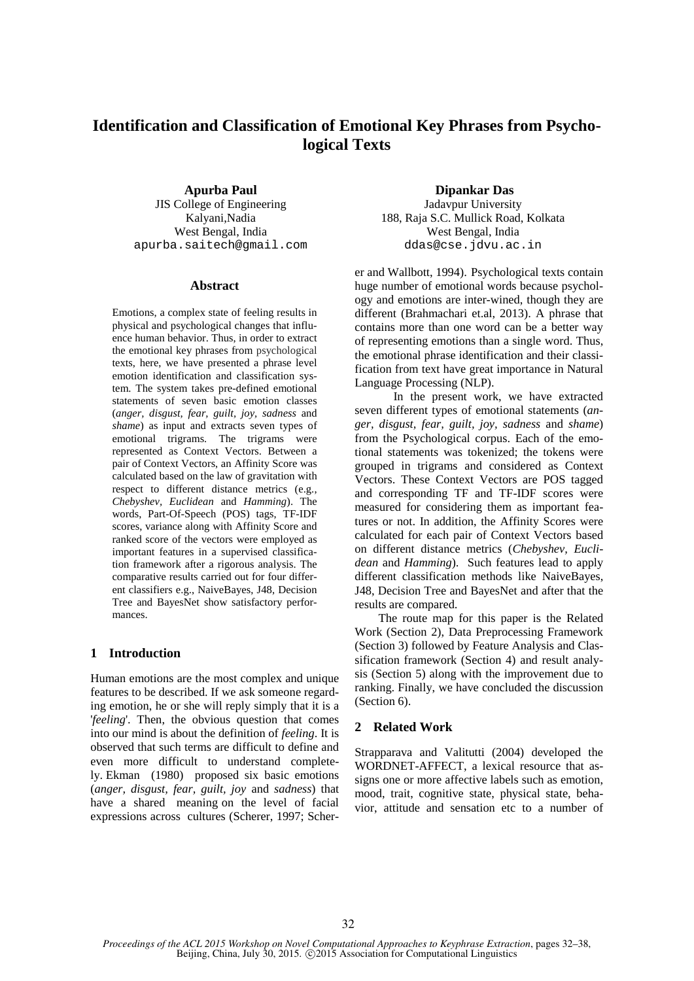# **Identification and Classification of Emotional Key Phrases from Psychological Texts**

JIS College of Engineering apurba.saitech@gmail.com ddas@cse.jdvu.ac.in

# **Abstract**

Emotions, a complex state of feeling results in physical and psychological changes that influence human behavior. Thus, in order to extract the emotional key phrases from psychological texts, here, we have presented a phrase level emotion identification and classification system. The system takes pre-defined emotional statements of seven basic emotion classes (*anger, disgust, fear, guilt, joy, sadness* and *shame*) as input and extracts seven types of emotional trigrams. The trigrams were represented as Context Vectors. Between a pair of Context Vectors, an Affinity Score was calculated based on the law of gravitation with respect to different distance metrics (e.g., *Chebyshev, Euclidean* and *Hamming*). The words, Part-Of-Speech (POS) tags, TF-IDF scores, variance along with Affinity Score and ranked score of the vectors were employed as important features in a supervised classification framework after a rigorous analysis. The comparative results carried out for four different classifiers e.g., NaiveBayes, J48, Decision Tree and BayesNet show satisfactory performances.

# **1 Introduction**

Human emotions are the most complex and unique features to be described. If we ask someone regarding emotion, he or she will reply simply that it is a '*feeling*'. Then, the obvious question that comes into our mind is about the definition of *feeling*. It is observed that such terms are difficult to define and even more difficult to understand completely. Ekman (1980) proposed six basic emotions (*anger, disgust, fear, guilt, joy* and *sadness*) that have a shared meaning on the level of facial expressions across cultures (Scherer, 1997; Scher-

**Apurba Paul Dipankar Das**<br> **Dipankar Das**<br> **Dipankar Das**<br> **Dipankar Das**<br> **Dipankar Das** Kalyani,Nadia 188, Raja S.C. Mullick Road, Kolkata West Bengal, India West Bengal, India

> er and Wallbott, 1994). Psychological texts contain huge number of emotional words because psychology and emotions are inter-wined, though they are different (Brahmachari et.al, 2013). A phrase that contains more than one word can be a better way of representing emotions than a single word. Thus, the emotional phrase identification and their classification from text have great importance in Natural Language Processing (NLP).

> In the present work, we have extracted seven different types of emotional statements (*anger, disgust, fear, guilt, joy, sadness* and *shame*) from the Psychological corpus. Each of the emotional statements was tokenized; the tokens were grouped in trigrams and considered as Context Vectors. These Context Vectors are POS tagged and corresponding TF and TF-IDF scores were measured for considering them as important features or not. In addition, the Affinity Scores were calculated for each pair of Context Vectors based on different distance metrics (*Chebyshev, Euclidean* and *Hamming*). Such features lead to apply different classification methods like NaiveBayes, J48, Decision Tree and BayesNet and after that the results are compared.

> The route map for this paper is the Related Work (Section 2), Data Preprocessing Framework (Section 3) followed by Feature Analysis and Classification framework (Section 4) and result analysis (Section 5) along with the improvement due to ranking. Finally, we have concluded the discussion (Section 6).

#### **2 Related Work**

Strapparava and Valitutti (2004) developed the WORDNET-AFFECT, a lexical resource that assigns one or more affective labels such as emotion, mood, trait, cognitive state, physical state, behavior, attitude and sensation etc to a number of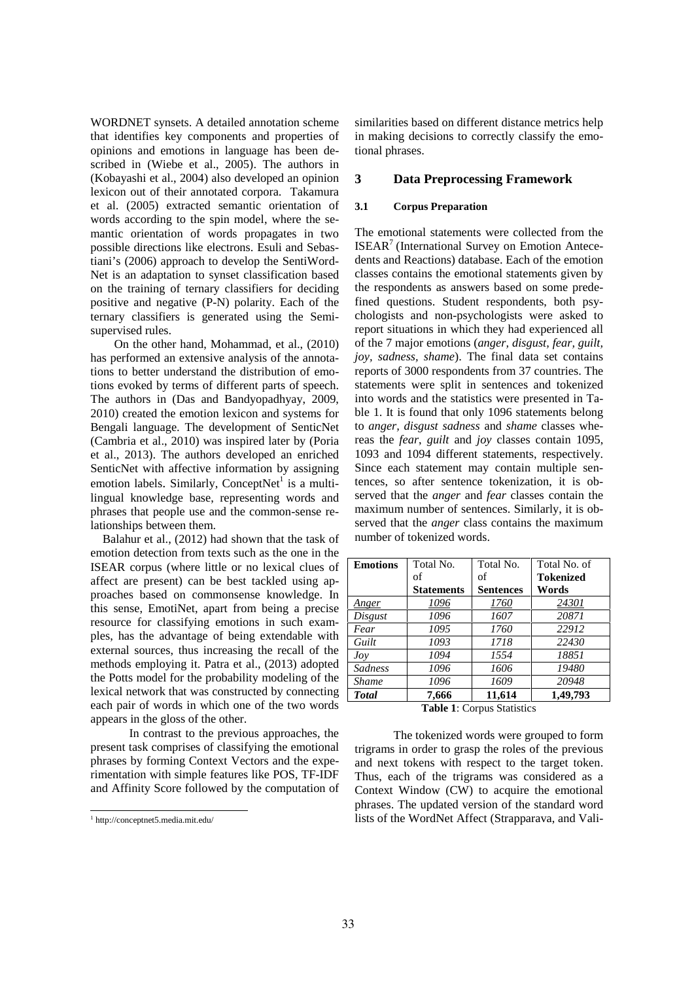WORDNET synsets. A detailed annotation scheme that identifies key components and properties of opinions and emotions in language has been described in (Wiebe et al., 2005). The authors in (Kobayashi et al., 2004) also developed an opinion lexicon out of their annotated corpora. Takamura et al. (2005) extracted semantic orientation of words according to the spin model, where the semantic orientation of words propagates in two possible directions like electrons. Esuli and Sebastiani's (2006) approach to develop the SentiWord-Net is an adaptation to synset classification based on the training of ternary classifiers for deciding positive and negative (P-N) polarity. Each of the ternary classifiers is generated using the Semi supervised rules.

On the other hand, Mohammad, et al., (2010) has performed an extensive analysis of the annotations to better understand the distribution of emotions evoked by terms of different parts of speech. The authors in (Das and Bandyopadhyay, 2009, 2010) created the emotion lexicon and systems for Bengali language. The development of SenticNet (Cambria et al., 2010) was inspired later by (Poria et al., 2013). The authors developed an enriched SenticNet with affective information by assigning emotion labels. Similarly, ConceptNet<sup>1</sup> is a multilingual knowledge base, representing words and phrases that people use and the common-sense relationships between them.

Balahur et al., (2012) had shown that the task of emotion detection from texts such as the one in the ISEAR corpus (where little or no lexical clues of affect are present) can be best tackled using approaches based on commonsense knowledge. In this sense, EmotiNet, apart from being a precise resource for classifying emotions in such examples, has the advantage of being extendable with external sources, thus increasing the recall of the methods employing it. Patra et al., (2013) adopted the Potts model for the probability modeling of the lexical network that was constructed by connecting each pair of words in which one of the two words appears in the gloss of the other.

In contrast to the previous approaches, the present task comprises of classifying the emotional phrases by forming Context Vectors and the experimentation with simple features like POS, TF-IDF and Affinity Score followed by the computation of similarities based on different distance metrics help in making decisions to correctly classify the emotional phrases.

#### **3 Data Preprocessing Framework**

#### **3.1 Corpus Preparation**

The emotional statements were collected from the ISEAR<sup>7</sup> (International Survey on Emotion Antecedents and Reactions) database. Each of the emotion classes contains the emotional statements given by the respondents as answers based on some predefined questions. Student respondents, both psychologists and non-psychologists were asked to report situations in which they had experienced all of the 7 major emotions (*anger, disgust, fear, guilt, joy, sadness, shame*). The final data set contains reports of 3000 respondents from 37 countries. The statements were split in sentences and tokenized into words and the statistics were presented in Table 1. It is found that only 1096 statements belong to *anger, disgust sadness* and *shame* classes whereas the *fear*, *guilt* and *joy* classes contain 1095, 1093 and 1094 different statements, respectively. Since each statement may contain multiple sentences, so after sentence tokenization, it is observed that the *anger* and *fear* classes contain the maximum number of sentences. Similarly, it is observed that the *anger* class contains the maximum number of tokenized words.

| <b>Emotions</b> | Total No.         | Total No.        | Total No. of     |
|-----------------|-------------------|------------------|------------------|
|                 | of                | of               | <b>Tokenized</b> |
|                 | <b>Statements</b> | <b>Sentences</b> | Words            |
| Anger           | 1096              | 1760             | 24301            |
| Disgust         | 1096              | 1607             | 20871            |
| Fear            | 1095              | 1760             | 22912            |
| Guilt           | 1093              | 1718             | 22430            |
| Jov             | 1094              | 1554             | 18851            |
| Sadness         | 1096              | 1606             | 19480            |
| <b>Shame</b>    | 1096              | 1609             | 20948            |
| <b>Total</b>    | 7.666             | 11,614           | 1.49.793         |

**Table 1**: Corpus Statistics

The tokenized words were grouped to form trigrams in order to grasp the roles of the previous and next tokens with respect to the target token. Thus, each of the trigrams was considered as a Context Window (CW) to acquire the emotional phrases. The updated version of the standard word lists of the WordNet Affect (Strapparava, and Vali-

<sup>1</sup> http://conceptnet5.media.mit.edu/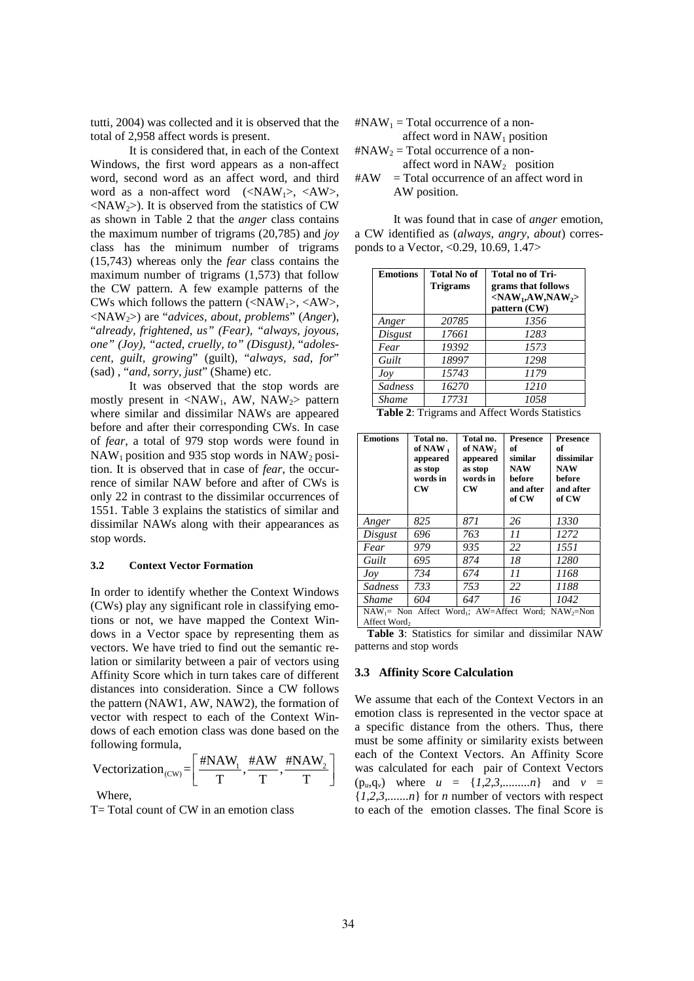tutti, 2004) was collected and it is observed that the total of 2,958 affect words is present.

It is considered that, in each of the Context Windows, the first word appears as a non-affect word, second word as an affect word, and third #AW word as a non-affect word  $(\langle NAW_1 \rangle, \langle AW \rangle)$ ,  $\langle NAW_2 \rangle$ ). It is observed from the statistics of CW as shown in Table 2 that the *anger* class contains the maximum number of trigrams (20,785) and *joy* class has the minimum number of trigrams (15,743) whereas only the *fear* class contains the maximum number of trigrams (1,573) that follow the CW pattern. A few example patterns of the CWs which follows the pattern  $(\langle NAW_1 \rangle, \langle AW \rangle)$ , <NAW2>) are "*advices, about, problems*" (*Anger*), "*already, frightened, us" (Fear), "always, joyous, one" (Joy), "acted, cruelly, to" (Disgust)*, "*adolescent, guilt, growing*" (guilt), "*always, sad, for*" (sad) , "*and, sorry, just*" (Shame) etc.

It was observed that the stop words are mostly present in  $\langle NAW_1, AW, NAW_2 \rangle$  pattern where similar and dissimilar NAWs are appeared before and after their corresponding CWs. In case of *fear*, a total of 979 stop words were found in  $NAW_1$  position and 935 stop words in  $NAW_2$  position. It is observed that in case of *fear*, the occurrence of similar NAW before and after of CWs is only 22 in contrast to the dissimilar occurrences of 1551. Table 3 explains the statistics of similar and dissimilar NAWs along with their appearances as stop words.

#### **3.2 Context Vector Formation**

In order to identify whether the Context Windows (CWs) play any significant role in classifying emotions or not, we have mapped the Context Windows in a Vector space by representing them as vectors. We have tried to find out the semantic relation or similarity between a pair of vectors using Affinity Score which in turn takes care of different distances into consideration. Since a CW follows the pattern (NAW1, AW, NAW2), the formation of vector with respect to each of the Context Windows of each emotion class was done based on the following formula, he Context Windows<br>
le in classifying emo-<br>
ed the Context Windows<br>
ed the Context Windows<br>
representing them as<br>
Table 3: Statistics<br>
l out the semantic re-<br>
patterns and stop work<br>
pair of vectors using<br>
akes care of di the context Windows<br>
v significant role in classifying emo-<br>
ve have mapped the Context Win-<br>
ve have mapped the Context Win-<br>
ve have mapped the Context Win-<br>
tor space by representing them as<br>
Table 3: S<br>
ve tried to fi 1935 stop words in NAW<sub>2</sub> posi-<br>that in case of *fear*, the occur-<br>AW before and after of CWs is<br>to the dissimilar occurrences of<br>ains the statistics of similar and<br>along with their appearances as<br> $\frac{Angle}{Disyu}$ .<br>**Consider t** 

Vectorization<sub>(CW)</sub> =  $\left[\frac{\text{\#NAW}_1}{T}, \frac{\text{\#AW}}{T}, \frac{\text{\#NAW}_2}{T}\right]$ 

**Where** 

T= Total count of CW in an emotion class

 $\text{H}NAW_1$  = Total occurrence of a non-

affect word in  $NAW_1$  position  $\text{H}NAW_2$  = Total occurrence of a non-

affect word in NAW<sub>2</sub> position

 $=$  Total occurrence of an affect word in AW position.

It was found that in case of *anger* emotion, a CW identified as (*always, angry, about*) corresponds to a Vector, <0.29, 10.69, 1.47>

| <b>Emotions</b> | <b>Total No of</b><br><b>Trigrams</b> | <b>Total no of Tri-</b><br>grams that follows<br>$<$ NAW <sub>1</sub> ,AW,NAW <sub>2</sub> ><br>pattern (CW) |
|-----------------|---------------------------------------|--------------------------------------------------------------------------------------------------------------|
| Anger           | 20785                                 | 1356                                                                                                         |
| Disgust         | 17661                                 | 1283                                                                                                         |
| Fear            | 19392                                 | 1573                                                                                                         |
| Guilt           | 18997                                 | 1298                                                                                                         |
| Jov             | 15743                                 | 1179                                                                                                         |
| Sadness         | 16270                                 | 1210                                                                                                         |
| <b>Shame</b>    | 17731                                 | 1058                                                                                                         |
| <b>mun Am</b>   | 1.00                                  | $\mathbf{X}$                                                                                                 |

**Table 2**: Trigrams and Affect Words Statistics

| <b>Emotions</b>                                                                                                                                                                                                                                                                                                                                                                                                                                                                                                                                                                                                          | Total no.<br>of NAW <sub>1</sub><br>appeared<br>as stop<br>words in<br><b>CW</b> | Total no.<br>of NAW <sub>2</sub><br>appeared<br>as stop<br>words in<br>$cm$ | Presence<br>of<br>similar<br><b>NAW</b><br>before<br>and after<br>of CW | <b>Presence</b><br>of<br>dissimilar<br><b>NAW</b><br>before<br>and after<br>of CW       |  |
|--------------------------------------------------------------------------------------------------------------------------------------------------------------------------------------------------------------------------------------------------------------------------------------------------------------------------------------------------------------------------------------------------------------------------------------------------------------------------------------------------------------------------------------------------------------------------------------------------------------------------|----------------------------------------------------------------------------------|-----------------------------------------------------------------------------|-------------------------------------------------------------------------|-----------------------------------------------------------------------------------------|--|
| Anger                                                                                                                                                                                                                                                                                                                                                                                                                                                                                                                                                                                                                    | 825                                                                              | 871                                                                         | 26                                                                      | 1330                                                                                    |  |
|                                                                                                                                                                                                                                                                                                                                                                                                                                                                                                                                                                                                                          | 696                                                                              | 763                                                                         | 11                                                                      | 1272                                                                                    |  |
| Fear                                                                                                                                                                                                                                                                                                                                                                                                                                                                                                                                                                                                                     | 979                                                                              | 935                                                                         | 22                                                                      | 1551                                                                                    |  |
| Guilt                                                                                                                                                                                                                                                                                                                                                                                                                                                                                                                                                                                                                    | 695                                                                              | 874                                                                         | 18                                                                      | 1280                                                                                    |  |
| Jov                                                                                                                                                                                                                                                                                                                                                                                                                                                                                                                                                                                                                      | 734                                                                              | 674                                                                         | 11                                                                      | 1168                                                                                    |  |
| Sadness                                                                                                                                                                                                                                                                                                                                                                                                                                                                                                                                                                                                                  | 733                                                                              | 753                                                                         | 22                                                                      | 1188                                                                                    |  |
| <b>Shame</b>                                                                                                                                                                                                                                                                                                                                                                                                                                                                                                                                                                                                             | 604                                                                              | 647                                                                         | 16                                                                      | 1042                                                                                    |  |
| Table 3: Statistics for similar and dissimilar NAW<br>patterns and stop words<br>3.3 Affinity Score Calculation<br>We assume that each of the Context Vectors in an<br>emotion class is represented in the vector space at<br>a specific distance from the others. Thus, there<br>must be some affinity or similarity exists between<br>each of the Context Vectors. An Affinity Score<br>was calculated for each pair of Context Vectors<br>$(p_u, q_v)$ where $u = \{1, 2, 3, \dots, n\}$ and $v =$<br>$\{1,2,3,n\}$ for <i>n</i> number of vectors with respect<br>to each of the emotion classes. The final Score is |                                                                                  |                                                                             |                                                                         |                                                                                         |  |
|                                                                                                                                                                                                                                                                                                                                                                                                                                                                                                                                                                                                                          | Disgust                                                                          | Affect Word <sub>2</sub>                                                    |                                                                         | NAW <sub>1</sub> = Non Affect Word <sub>1</sub> ; AW=Affect Word; NAW <sub>2</sub> =Non |  |

#### **3.3 Affinity Score Calculation**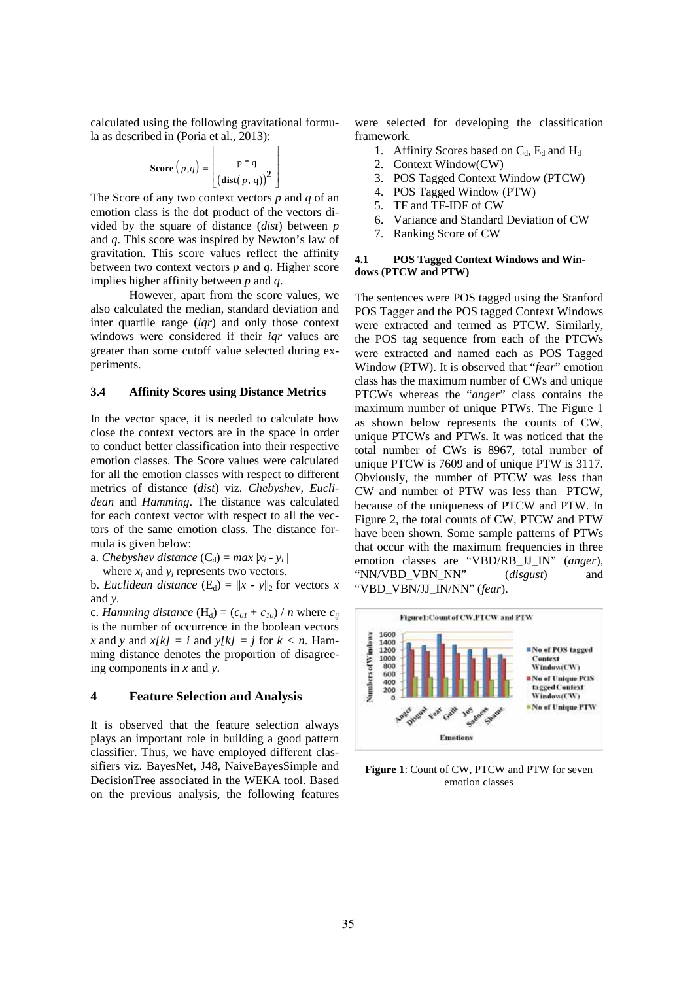calculated using the following gravitational formula as described in (Poria et al., 2013):

**Score** 
$$
(p,q)
$$
 =  $\left[ \frac{p * q}{(\text{dist}(p,q))^2} \right]$ 

gravitational formu-<br>
outin<br>  $\begin{bmatrix}\n\ast q \\
(p,q)\n\end{bmatrix}$ <br>
ectors p and q of an<br>
ectors di-<br>
ectors di-<br>
ectors di-<br>
ectors di*p* following gravitational for<br>
Poria et al., 2013):<br>  $p,q$  =  $\left[\frac{p * q}{(\text{dist}(p, q))^2}\right]$ <br>
wo context vectors p and q c<br>
e dot product of the vectors<br>
re of distance (dist) between wing gravitational formu-<br>
expected for developing<br>
tal., 2013):<br>
framework.<br>  $\left[\begin{array}{cc} p^*q \\ (dist(p,q))^2 \end{array}\right]$ <br>
2. Context Window(CW)<br>
3. POS Tagged Context Wire<br>
thext vectors p and q of an<br>
4. POS Tagged Window (PI<br>
produc The Score of any two context vectors  $p$  and  $q$  of an  $\frac{4}{5}$ . emotion class is the dot product of the vectors divided by the square of distance (*dist*) between  $p = \frac{6}{7}$ and *q*. This score was inspired by Newton's law of gravitation. This score values reflect the affinity  $\boldsymbol{A}$ between two context vectors *p* and *q*. Higher score implies higher affinity between *p* and *q*.

However, apart from the score values, we also calculated the median, standard deviation and inter quartile range (*iqr*) and only those context windows were considered if their *iqr* values are greater than some cutoff value selected during experiments.

#### **3.4 Affinity Scores using Distance Metrics**

In the vector space, it is needed to calculate how close the context vectors are in the space in order to conduct better classification into their respective emotion classes. The Score values were calculated for all the emotion classes with respect to different metrics of distance (*dist*) viz. *Chebyshev, Euclidean* and *Hamming*. The distance was calculated for each context vector with respect to all the vectors of the same emotion class. The distance formula is given below:

a. *Chebyshev distance*  $(C_d) = max |x_i - y_i|$ 

where  $x_i$  and  $y_i$  represents two vectors.

b. *Euclidean distance*  $(E_d) = ||x - y||_2$  for vectors *x* and *y*.

c. *Hamming distance* (H<sub>d</sub>) = ( $c_{0I}$  +  $c_{10}$ ) / *n* where  $c_{ij}$ is the number of occurrence in the boolean vectors <br>
x and y and  $x[k] = i$  and  $y[k] = j$  for  $k < n$ . Hamming distance denotes the proportion of disagree-<br>
ing components in x and y.<br> **4 Feature Selection and Analysis** *x* and *y* and  $x[k] = i$  and  $y[k] = j$  for  $k < n$ . Hamming distance denotes the proportion of disagreeing components in *x* and *y*.

#### **4 Feature Selection and Analysis**

It is observed that the feature selection always plays an important role in building a good pattern classifier. Thus, we have employed different classifiers viz. BayesNet, J48, NaiveBayesSimple and DecisionTree associated in the WEKA tool. Based on the previous analysis, the following features

llowing gravitational formu-<br>
a et al., 2013):<br>
a et al., 2013):<br>
framework.<br>  $=\begin{bmatrix} p * q \\ (dist(p, q))^2 \end{bmatrix}$ <br>  $\begin{bmatrix} 1. & Affinity Scores based on \\ 2. & Context Window(CW) \\ 3. & POS Tagged Context Win. \\ 4. & POS Tagged Window (PI) \\ 5. & TF and TF-IDF of CW \end{bmatrix}$ were selected for developing the classification framework.

- 1. Affinity Scores based on  $C_d$ ,  $E_d$  and  $H_d$
- 2. Context Window(CW)
- 3. POS Tagged Context Window (PTCW)
- 4. POS Tagged Window (PTW)
- 5. TF and TF-IDF of CW
- 6. Variance and Standard Deviation of CW
- Ranking Score of CW

#### **4.1 POS Tagged Context Windows and Windows (PTCW and PTW)**

The sentences were POS tagged using the Stanford POS Tagger and the POS tagged Context Windows were extracted and termed as PTCW. Similarly, the POS tag sequence from each of the PTCWs were extracted and named each as POS Tagged Window (PTW). It is observed that "*fear*" emotion class has the maximum number of CWs and unique PTCWs whereas the "*anger*" class contains the maximum number of unique PTWs. The Figure 1 as shown below represents the counts of CW, unique PTCWs and PTWs**.** It was noticed that the total number of CWs is 8967, total number of unique PTCW is 7609 and of unique PTW is 3117. Obviously, the number of PTCW was less than CW and number of PTW was less than PTCW, because of the uniqueness of PTCW and PTW. In Figure 2, the total counts of CW, PTCW and PTW have been shown. Some sample patterns of PTWs that occur with the maximum frequencies in three emotion classes are "VBD/RB\_JJ\_IN" (*anger*)*,* "NN/VBD\_VBN\_NN" (*disgust*) and "VBD\_VBN/JJ\_IN/NN" (*fear*).



**Figure 1**: Count of CW, PTCW and PTW for seven emotion classes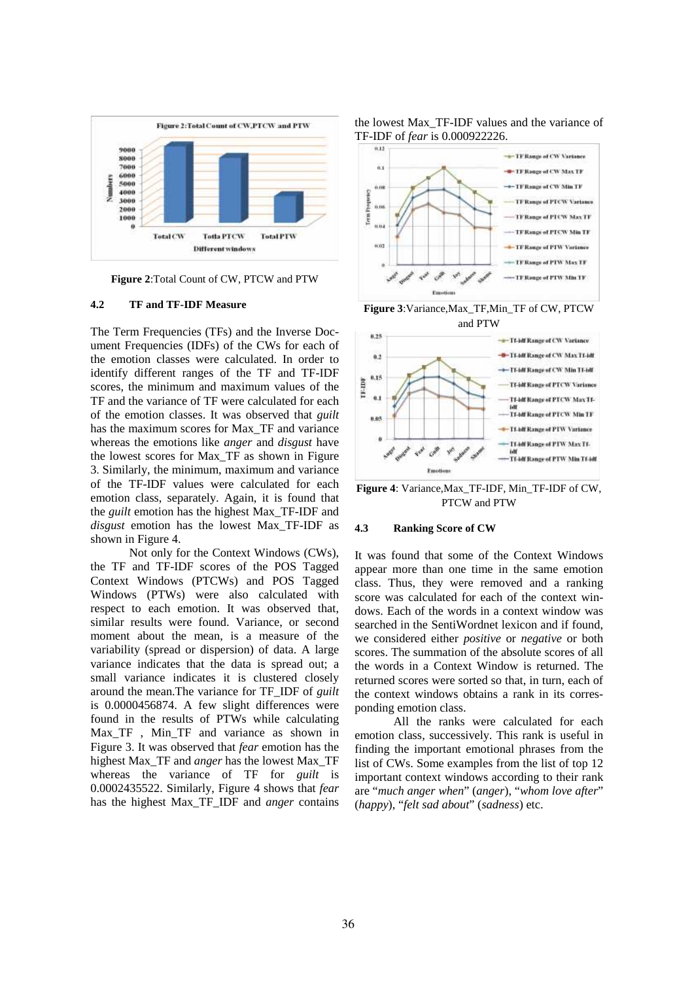

**Figure 2**:Total Count of CW, PTCW and PTW

### **4.2 TF and TF-IDF Measure**

The Term Frequencies (TFs) and the Inverse Document Frequencies (IDFs) of the CWs for each of the emotion classes were calculated. In order to identify different ranges of the TF and TF-IDF<br>scores, the minimum and maximum values of the scores, the minimum and maximum values of the TF and the variance of TF were calculated for each of the emotion classes. It was observed that *guilt* has the maximum scores for Max\_TF and variance whereas the emotions like *anger* and *disgust* have the lowest scores for Max\_TF as shown in Figure 3. Similarly, the minimum, maximum and variance of the TF-IDF values were calculated for each emotion class, separately. Again, it is found that the *guilt* emotion has the highest Max\_TF-IDF and disgust emotion has the lowest Max<sub>TF</sub>-IDF as 4.3 shown in Figure 4.

Not only for the Context Windows (CWs), the TF and TF-IDF scores of the POS Tagged Context Windows (PTCWs) and POS Tagged Windows (PTWs) were also calculated with respect to each emotion. It was observed that, similar results were found. Variance, or second moment about the mean, is a measure of the variability (spread or dispersion) of data. A large variance indicates that the data is spread out; a small variance indicates it is clustered closely around the mean.The variance for TF\_IDF of *guilt* is 0.0000456874. A few slight differences were found in the results of PTWs while calculating Max\_TF , Min\_TF and variance as shown in Figure 3. It was observed that *fear* emotion has the highest Max\_TF and *anger* has the lowest Max\_TF whereas the variance of TF for *guilt* is 0.0002435522. Similarly, Figure 4 shows that *fear* has the highest Max\_TF\_IDF and *anger* contains





**Figure 3**:Variance,Max\_TF,Min\_TF of CW, PTCW and PTW



**Figure 4**: Variance,Max\_TF-IDF, Min\_TF-IDF of CW, PTCW and PTW

#### **4.3 Ranking Score of CW**

It was found that some of the Context Windows appear more than one time in the same emotion class. Thus, they were removed and a ranking score was calculated for each of the context windows. Each of the words in a context window was searched in the SentiWordnet lexicon and if found, we considered either *positive* or *negative* or both scores. The summation of the absolute scores of all the words in a Context Window is returned. The returned scores were sorted so that, in turn, each of the context windows obtains a rank in its corresponding emotion class.

All the ranks were calculated for each emotion class, successively. This rank is useful in finding the important emotional phrases from the list of CWs. Some examples from the list of top 12 important context windows according to their rank are "*much anger when*" (*anger*), "*whom love after*" (*happy*), "*felt sad about*" (*sadness*) etc.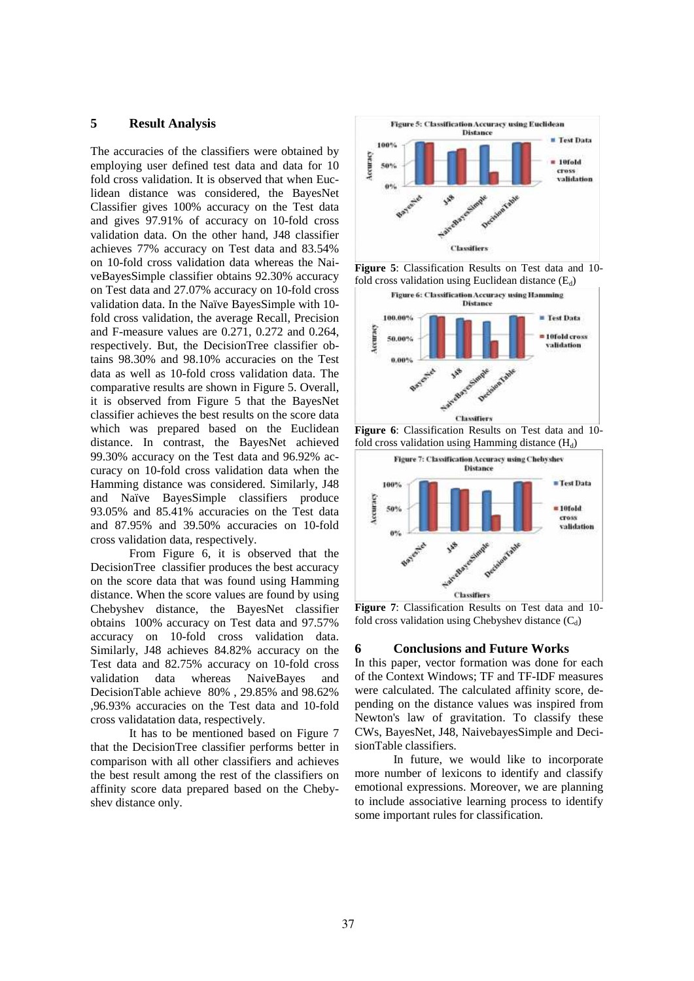# **5 Result Analysis**

The accuracies of the classifiers were obtained by<br>employing user defined test data and data for  $10$ <br> $\begin{array}{|l|}\n\hline\n\end{array}$ employing user defined test data and data for  $10$ fold cross validation. It is observed that when Euclidean distance was considered, the BayesNet Classifier gives 100% accuracy on the Test data and gives 97.91% of accuracy on 10-fold cross validation data. On the other hand, J48 classifier achieves 77% accuracy on Test data and 83.54% on 10-fold cross validation data whereas the NaiveBayesSimple classifier obtains 92.30% accuracy on Test data and 27.07% accuracy on 10-fold cross validation data. In the Naïve BayesSimple with 10 fold cross validation, the average Recall, Precision and F-measure values are 0.271, 0.272 and 0.264, respectively. But, the DecisionTree classifier obtains 98.30% and 98.10% accuracies on the Test data as well as 10-fold cross validation data. The comparative results are shown in Figure 5. Overall, it is observed from Figure 5 that the BayesNet classifier achieves the best results on the score data which was prepared based on the Euclidean distance. In contrast, the BayesNet achieved 99.30% accuracy on the Test data and 96.92% accuracy on 10-fold cross validation data when the Hamming distance was considered. Similarly, J48 and Naïve BayesSimple classifiers produce<br>93.05% and 85.41% accuracies on the Test data 93.05% and 85.41% accuracies on the Test data and 87.95% and 39.50% accuracies on 10-fold cross validation data, respectively.

From Figure 6, it is observed that the DecisionTree classifier produces the best accuracy on the score data that was found using Hamming distance. When the score values are found by using Chebyshev distance, the BayesNet classifier obtains 100% accuracy on Test data and 97.57% accuracy on 10-fold cross validation data.<br>Similarly I48 achieves 84.82% accuracy on the 6 Similarly, J48 achieves 84.82% accuracy on the Test data and 82.75% accuracy on 10-fold cross validation data whereas NaiveBayes and DecisionTable achieve 80% , 29.85% and 98.62% ,96.93% accuracies on the Test data and 10-fold cross validatation data, respectively.

It has to be mentioned based on Figure 7 that the DecisionTree classifier performs better in comparison with all other classifiers and achieves the best result among the rest of the classifiers on affinity score data prepared based on the Chebyshev distance only.











**Figure 7**: Classification Results on Test data and 10 fold cross validation using Chebyshev distance  $(C_d)$ 

#### **6 Conclusions and Future Works**

In this paper, vector formation was done for each of the Context Windows; TF and TF-IDF measures were calculated. The calculated affinity score, depending on the distance values was inspired from Newton's law of gravitation. To classify these CWs, BayesNet, J48, NaivebayesSimple and DecisionTable classifiers.

In future, we would like to incorporate more number of lexicons to identify and classify emotional expressions. Moreover, we are planning to include associative learning process to identify some important rules for classification.